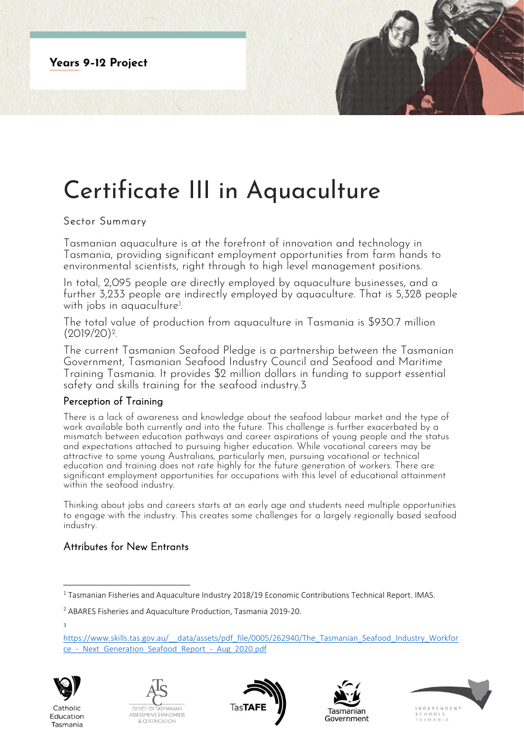**Years 9-12 Project** 

# Certificate III in Aquaculture

# Sector Summary

Tasmanian aquaculture is at the forefront of innovation and technology in Tasmania, providing significant employment opportunities from farm hands to environmental scientists, right through to high level management positions.

In total, 2,095 people are directly employed by aquaculture businesses, and a further 3,233 people are indirectly employed by aquaculture. That is 5,328 people with jobs in aquaculture<sup>1</sup> .

The total value of production from aquaculture in Tasmania is \$930.7 million  $(2019/20)^2$ . .

The current Tasmanian Seafood Pledge is a partnership between the Tasmanian Government, Tasmanian Seafood Industry Council and Seafood and Maritime Training Tasmania. It provides \$2 million dollars in funding to support essential safety and skills training for the seafood industry.3

### Perception of Training

There is a lack of awareness and knowledge about the seafood labour market and the type of work available both currently and into the future. This challenge is further exacerbated by a mismatch between education pathways and career aspirations of young people and the status and expectations attached to pursuing higher education. While vocational careers may be attractive to some young Australians, particularly men, pursuing vocational or technical education and training does not rate highly for the future generation of workers. There are significant employment opportunities for occupations with this level of educational attainment within the seafood industry.

Thinking about jobs and careers starts at an early age and students need multiple opportunities to engage with the industry. This creates some challenges for a largely regionally based seafood industry.

# Attributes for New Entrants

3

[https://www.skills.tas.gov.au/\\_\\_data/assets/pdf\\_file/0005/262940/The\\_Tasmanian\\_Seafood\\_Industry\\_Workfor](https://www.skills.tas.gov.au/__data/assets/pdf_file/0005/262940/The_Tasmanian_Seafood_Industry_Workforce_-_Next_Generation_Seafood_Report_-_Aug_2020.pdf) ce - Next Generation Seafood Report - Aug 2020.pdf



Catholic

Education

Tasmania









<sup>1</sup> Tasmanian Fisheries and Aquaculture Industry 2018/19 Economic Contributions Technical Report. IMAS.

<sup>2</sup> ABARES Fisheries and Aquaculture Production, Tasmania 2019-20.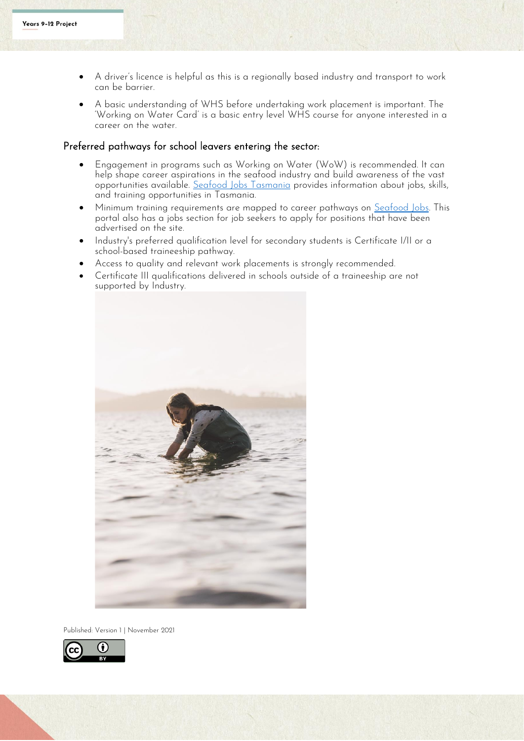- A driver's licence is helpful as this is a regionally based industry and transport to work can be barrier.
- A basic understanding of WHS before undertaking work placement is important. The 'Working on Water Card' is a basic entry level WHS course for anyone interested in a career on the water.

#### Preferred pathways for school leavers entering the sector:

- Engagement in programs such as Working on Water (WoW) is recommended. It can help shape career aspirations in the seafood industry and build awareness of the vast opportunities available. [Seafood Jobs Tasmania](https://seafoodjobs.org/) provides information about jobs, skills, and training opportunities in Tasmania.
- Minimum training requirements are mapped to career pathways on [Seafood Jobs.](https://seafoodjobs.org/) This portal also has a jobs section for job seekers to apply for positions that have been advertised on the site.
- Industry's preferred qualification level for secondary students is Certificate I/II or a school-based traineeship pathway.
- Access to quality and relevant work placements is strongly recommended.
- Certificate III qualifications delivered in schools outside of a traineeship are not supported by Industry.



Published: Version 1 | November 2021